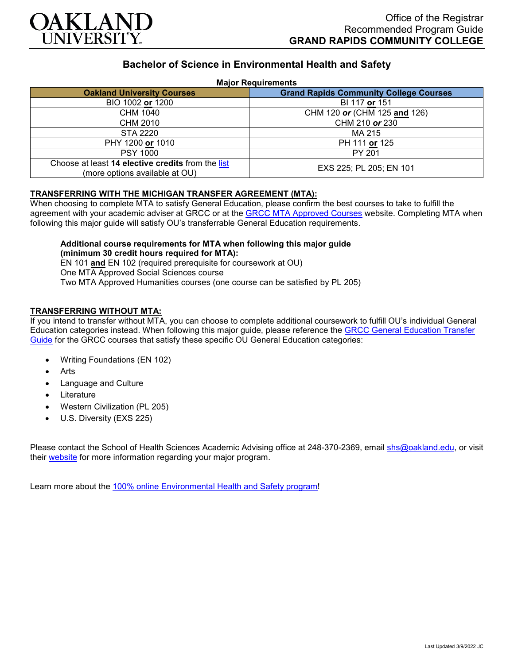

# **Bachelor of Science in Environmental Health and Safety**

#### **Major Requirements**

| <b>Oakland University Courses</b>                                                   | <b>Grand Rapids Community College Courses</b> |
|-------------------------------------------------------------------------------------|-----------------------------------------------|
| BIO 1002 or 1200                                                                    | BI 117 or 151                                 |
| CHM 1040                                                                            | CHM 120 or (CHM 125 and 126)                  |
| CHM 2010                                                                            | CHM 210 or 230                                |
| STA 2220                                                                            | MA 215                                        |
| PHY 1200 or 1010                                                                    | PH 111 or 125                                 |
| <b>PSY 1000</b>                                                                     | PY 201                                        |
| Choose at least 14 elective credits from the list<br>(more options available at OU) | EXS 225; PL 205; EN 101                       |

# **TRANSFERRING WITH THE MICHIGAN TRANSFER AGREEMENT (MTA):**

When choosing to complete MTA to satisfy General Education, please confirm the best courses to take to fulfill the agreement with your academic adviser at GRCC or at the **GRCC MTA Approved Courses website. Completing MTA when** following this major guide will satisfy OU's transferrable General Education requirements.

# **Additional course requirements for MTA when following this major guide (minimum 30 credit hours required for MTA):**

EN 101 **and** EN 102 (required prerequisite for coursework at OU) One MTA Approved Social Sciences course Two MTA Approved Humanities courses (one course can be satisfied by PL 205)

### **TRANSFERRING WITHOUT MTA:**

If you intend to transfer without MTA, you can choose to complete additional coursework to fulfill OU's individual General Education categories instead. When following this major guide, please reference the [GRCC General Education Transfer](https://www.oakland.edu/Assets/Oakland/program-guides/grand-rapids-community-college/university-general-education-requirements/Grand%20Rapids%20Gen%20Ed.pdf)  [Guide](https://www.oakland.edu/Assets/Oakland/program-guides/grand-rapids-community-college/university-general-education-requirements/Grand%20Rapids%20Gen%20Ed.pdf) for the GRCC courses that satisfy these specific OU General Education categories:

- Writing Foundations (EN 102)
- Arts
- Language and Culture
- **Literature**
- Western Civilization (PL 205)
- U.S. Diversity (EXS 225)

Please contact the School of Health Sciences Academic Advising office at 248-370-2369, email [shs@oakland.edu,](mailto:shs@oakland.edu) or visit their [website](http://www.oakland.edu/shs/advising) for more information regarding your major program.

Learn more about the [100% online Environmental Health and Safety program!](https://www.oakland.edu/online/undergraduate-degree-programs/ehs/)